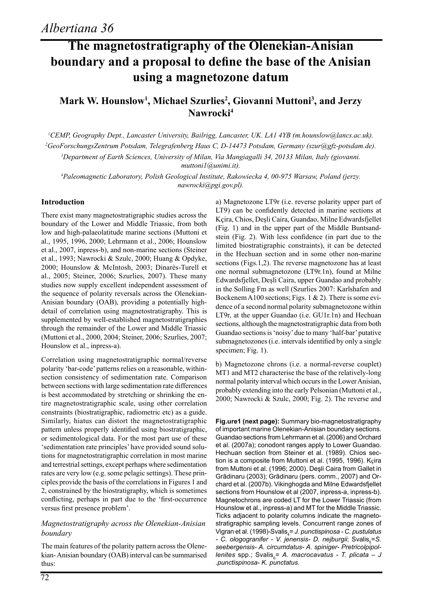# **The magnetostratigraphy of the Olenekian-Anisian boundary and a proposal to define the base of the Anisian using a magnetozone datum**

### **Mark W. Hounslow1 , Michael Szurlies2 , Giovanni Muttoni3 , and Jerzy Nawrocki4**

 *CEMP, Geography Dept., Lancaster University, Bailrigg, Lancaster, UK. LA1 4YB (m.hounslow@lancs.ac.uk). GeoForschungsZentrum Potsdam, Telegrafenberg Haus C, D-14473 Potsdam, Germany (szur@gfz-potsdam.de). Department of Earth Sciences, University of Milan, Via Mangiagalli 34, 20133 Milan, Italy (giovanni. muttoni1@unimi.it).*

*4 Paleomagnetic Laboratory, Polish Geological Institute, Rakowiecka 4, 00-975 Warsaw, Poland (jerzy. nawrocki@pgi.gov.pl).*

#### **Introduction**

There exist many magnetostratigraphic studies across the boundary of the Lower and Middle Triassic, from both low and high-palaeolatitude marine sections (Muttoni et al., 1995, 1996, 2000; Lehrmann et al., 2006; Hounslow et al., 2007, inpress-b), and non-marine sections (Steiner et al., 1993; Nawrocki & Szulc, 2000; Huang & Opdyke, 2000; Hounslow & McIntosh, 2003; Dinarès-Turell et al., 2005; Steiner, 2006; Szurlies, 2007). These many studies now supply excellent independent assessment of the sequence of polarity reversals across the Olenekian-Anisian boundary (OAB), providing a potentially highdetail of correlation using magnetostratigraphy. This is supplemented by well-established magnetostratigraphies through the remainder of the Lower and Middle Triassic (Muttoni et al., 2000, 2004; Steiner, 2006; Szurlies, 2007; Hounslow et al., inpress-a).

Correlation using magnetostratigraphic normal/reverse polarity 'bar-code' patterns relies on a reasonable, withinsection consistency of sedimentation rate. Comparison between sections with large sedimentation rate differences is best accommodated by stretching or shrinking the entire magnetostratigraphic scale, using other correlation constraints (biostratigraphic, radiometric etc) as a guide. Similarly, hiatus can distort the magnetostratigraphic pattern unless properly identified using biostratigraphic, or sedimentological data. For the most part use of these 'sedimentation rate principles' have provided sound solutions for magnetostratigraphic correlation in most marine and terrestrial settings, except perhaps where sedimentation rates are very low (e.g. some pelagic settings). These principles provide the basis of the correlations in Figures 1 and 2, constrained by the biostratigraphy, which is sometimes conflicting, perhaps in part due to the 'first-occurrence versus first presence problem'.

#### *Magnetostratigraphy across the Olenekian-Anisian boundary*

The main features of the polarity pattern across the Olenekian- Anisian boundary (OAB) interval can be summarised thus:

a) Magnetozone LT9r (i.e. reverse polarity upper part of LT9) can be confidently detected in marine sections at Kçira, Chios, Deşli Caira, Guandao, Milne Edwardsfjellet (Fig. 1) and in the upper part of the Middle Buntsandstein (Fig. 2). With less confidence (in part due to the limited biostratigraphic constraints), it can be detected in the Hechuan section and in some other non-marine sections (Figs.1,2). The reverse magnetozone has at least one normal submagnetozone (LT9r.1n), found at Milne Edwardsfjellet, Deşli Caira, upper Guandao and probably in the Solling Fm as well (Szurlies 2007: Karlshafen and Bockenem A100 sections; Figs. 1 & 2). There is some evidence of a second normal polarity submagnetozone within LT9r, at the upper Guandao (i.e. GU1r.1n) and Hechuan sections, although the magnetostratigraphic data from both Guandao sections is 'noisy' due to many 'half-bar' putative submagnetozones (i.e. intervals identified by only a single specimen; Fig. 1).

b) Magnetozone chrons (i.e. a normal-reverse couplet) MT1 and MT2 characterise the base of the relatively-long normal polarity interval which occurs in the Lower Anisian, probably extending into the early Pelsonian (Muttoni et al., 2000; Nawrocki & Szulc, 2000; Fig. 2). The reverse and

**Fig.ure1 (next page):** Summary bio-magnetostratigraphy of important marine Olenekian-Anisian boundary sections. Guandao sections from Lehrmann et al. (2006) and Orchard et al. (2007a); conodont ranges apply to Lower Guandao. Hechuan section from Steiner et al. (1989). Chios section is a composite from Muttoni et al. (1995, 1996). Kçira from Muttoni et al. (1996; 2000). Deşli Caira from Gallet in Grãdinaru (2003); Grãdinaru (pers. comm., 2007) and Orchard et al. (2007b). Vikinghogda and Milne Edwardsfjellet sections from Hounslow et al (2007, inpress-a, inpress-b). Magnetochrons are coded LT for the Lower Triassic (from Hounslow et al., inpress-a) and MT for the Middle Triassic. Ticks adjacent to polarity columns indicate the magnetostratigraphic sampling levels. Concurrent range zones of Vigran et al. (1998)-Svalis<sub>4</sub>= *J. punctispinosa - C. pustulatus* - C. ologogranifer - V. jenensis- D. nejburgii; Svalis<sub>s</sub>=S. *seebergensis- A. circumdatus- A. spiniger- Pretricolpipollenites* spp.; Svalis<sub>s</sub>= A. macrocavatus - T. plicata – J *.punctispinosa- K. punctatus*.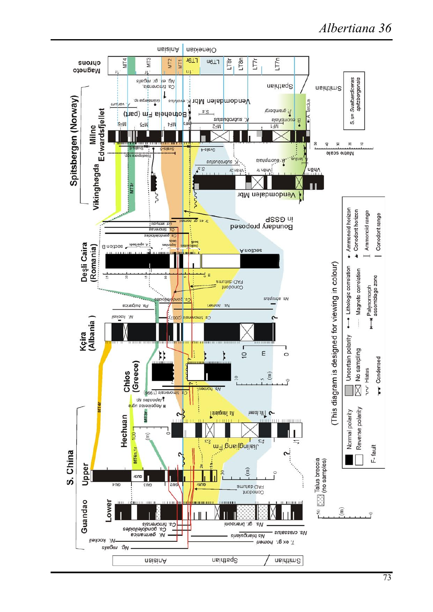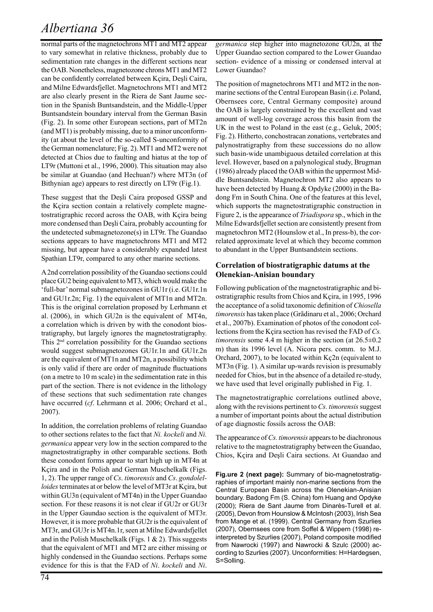# *Albertiana 36*

normal parts of the magnetochrons MT1 and MT2 appear to vary somewhat in relative thickness, probably due to sedimentation rate changes in the different sections near the OAB. Nonetheless, magnetozone chrons MT1 and MT2 can be confidently correlated between Kçira, Deşli Caira, and Milne Edwardsfjellet. Magnetochrons MT1 and MT2 are also clearly present in the Riera de Sant Jaume section in the Spanish Buntsandstein, and the Middle-Upper Buntsandstein boundary interval from the German Basin (Fig. 2). In some other European sections, part of MT2n (and MT1) is probably missing, due to a minor unconformity (at about the level of the so-called S-unconformity of the German nomenclature; Fig. 2). MT1 and MT2 were not detected at Chios due to faulting and hiatus at the top of LT9r (Muttoni et al., 1996, 2000). This situation may also be similar at Guandao (and Hechuan?) where MT3n (of Bithynian age) appears to rest directly on LT9r (Fig.1).

These suggest that the Deşli Caira proposed GSSP and the Kçira section contain a relatively complete magnetostratigraphic record across the OAB, with Kçira being more condensed than Deşli Caira, probably accounting for the undetected submagnetozone(s) in LT9r. The Guandao sections appears to have magnetochrons MT1 and MT2 missing, but appear have a considerably expanded latest Spathian LT9r, compared to any other marine sections.

A 2nd correlation possibility of the Guandao sections could place GU2 being equivalent to MT3, which would make the 'full-bar' normal submagnetozones in GU1r (i.e. GU1r.1n and GU1r.2n; Fig. 1) the equivalent of MT1n and MT2n. This is the original correlation proposed by Lerhmann et al. (2006), in which GU2n is the equivalent of MT4n, a correlation which is driven by with the conodont biostratigraphy, but largely ignores the magnetostratigraphy. This 2nd correlation possibility for the Guandao sections would suggest submagnetozones GU1r.1n and GU1r.2n are the equivalent of MT1n and MT2n, a possibility which is only valid if there are order of magnitude fluctuations (on a metre to 10 m scale) in the sedimentation rate in this part of the section. There is not evidence in the lithology of these sections that such sedimentation rate changes have occurred (*cf*. Lehrmann et al. 2006; Orchard et al., 2007).

In addition, the correlation problems of relating Guandao to other sections relates to the fact that *Ni. kockeli* and *Ni. germanica* appear very low in the section compared to the magnetostratigraphy in other comparable sections. Both these conodont forms appear to start high up in MT4n at Kçira and in the Polish and German Muschelkalk (Figs. 1, 2). The upper range of *Cs*. *timorensis* and *Cs*. *gondolelloides* terminates at or below the level of MT3r at Kçira, but within GU3n (equivalent of MT4n) in the Upper Guandao section. For these reasons it is not clear if GU2r or GU3r in the Upper Gaundao section is the equivalent of MT3r. However, it is more probable that GU2r is the equivalent of MT3r, and GU3r is MT4n.1r, seen at Milne Edwardsfjellet and in the Polish Muschelkalk (Figs. 1  $\&$  2). This suggests that the equivalent of MT1 and MT2 are either missing or highly condensed in the Guandao sections. Perhaps some evidence for this is that the FAD of *Ni*. *kockeli* and *Ni*.

*germanica* step higher into magnetozone GU2n, at the Upper Guandao section compared to the Lower Guandao section- evidence of a missing or condensed interval at Lower Guandao?

The position of magnetochrons MT1 and MT2 in the nonmarine sections of the Central European Basin (i.e. Poland, Obernsees core, Central Germany composite) around the OAB is largely constrained by the excellent and vast amount of well-log coverage across this basin from the UK in the west to Poland in the east (e.g., Geluk, 2005; Fig. 2). Hitherto, conchostracan zonations, vertebrates and palynostratigraphy from these successions do no allow such basin-wide unambiguous detailed correlation at this level. However, based on a palynological study, Brugman (1986) already placed the OAB within the uppermost Middle Buntsandstein. Magnetochron MT2 also appears to have been detected by Huang & Opdyke (2000) in the Badong Fm in South China. One of the features at this level, which supports the magnetostratigraphic construction in Figure 2, is the appearance of *Triadispora* sp., which in the Milne Edwardsfjellet section are consistently present from magnetochron MT2 (Hounslow et al., In press-b), the correlated approximate level at which they become common to abundant in the Upper Buntsandstein sections.

#### **Correlation of biostratigraphic datums at the Olenekian-Anisian boundary**

Following publication of the magnetostratigraphic and biostratigraphic results from Chios and Kçira, in 1995, 1996 the acceptance of a solid taxonomic definition of *Chiosella timorensis* has taken place (Grãdinaru et al., 2006; Orchard et al., 2007b). Examination of photos of the conodont collections from the Kçira section has revised the FAD of *Cs. timorensis* some 4.4 m higher in the section (at 26.5±0.2 m) than its 1996 level (A. Nicora pers. comm. to M.J. Orchard, 2007), to be located within Kç2n (equivalent to MT3n (Fig. 1). A similar up-wards revision is presumably needed for Chios, but in the absence of a detailed re-study, we have used that level originally published in Fig. 1.

The magnetostratigraphic correlations outlined above, along with the revisions pertinent to *Cs. timorensis* suggest a number of important points about the actual distribution of age diagnostic fossils across the OAB:

The appearance of *Cs. timorensis* appears to be diachronous relative to the magnetostratigraphy between the Guandao, Chios, Kçira and Deşli Caira sections. At Guandao and

**Fig.ure 2 (next page):** Summary of bio-magnetostratigraphies of important mainly non-marine sections from the Central European Basin across the Olenekian-Anisian boundary. Badong Fm (S. China) fom Huang and Opdyke (2000); Riera de Sant Jaume from Dinarès-Turell et al. (2005), Devon from Hounslow & McIntosh (2003), Irish Sea from Mange et al. (1999). Central Germany from Szurlies (2007), Obernsees core from Soffel & Wippern (1998) reinterpreted by Szurlies (2007), Poland composite modified from Nawrocki (1997) and Nawrocki & Szulc (2000) according to Szurlies (2007). Unconformities: H=Hardegsen, S=Solling.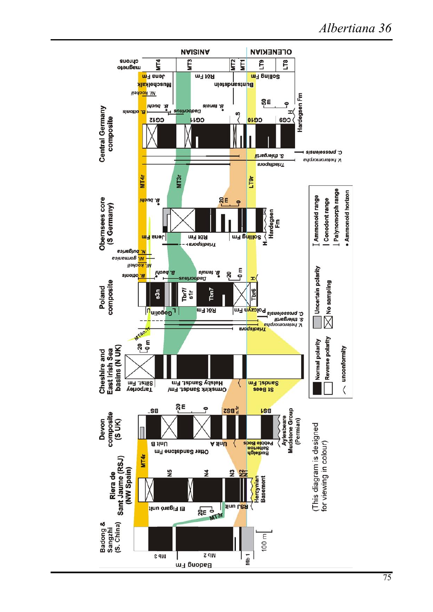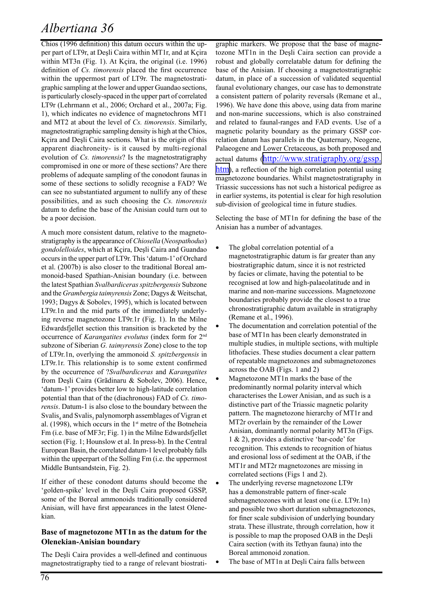### *Albertiana 36*

Chios (1996 definition) this datum occurs within the upper part of LT9r, at Deşli Caira within MT1r, and at Kçira within MT3n (Fig. 1). At Kçira, the original (i.e. 1996) definition of *Cs. timorensis* placed the first occurrence within the uppermost part of LT9r. The magnetostratigraphic sampling at the lower and upper Guandao sections, is particularly closely-spaced in the upper part of correlated LT9r (Lehrmann et al., 2006; Orchard et al., 2007a; Fig. 1), which indicates no evidence of magnetochrons MT1 and MT2 at about the level of *Cs. timorensis*. Similarly, magnetostratigraphic sampling density is high at the Chios, Kçira and Deşli Caira sections. What is the origin of this apparent diachroneity- is it caused by multi-regional evolution of *Cs. timorensis*? Is the magnetostratigraphy compromised in one or more of these sections? Are there problems of adequate sampling of the conodont faunas in some of these sections to solidly recognise a FAD? We can see no substantiated argument to nullify any of these possibilities, and as such choosing the *Cs. timorensis* datum to define the base of the Anisian could turn out to be a poor decision.

A much more consistent datum, relative to the magnetostratigraphy is the appearance of *Chiosella* (*Neospathodus*) *gondolelloides*, which at Kçira, Deşli Caira and Guandao occurs in the upper part of LT9r. This 'datum-1' of Orchard et al. (2007b) is also closer to the traditional Boreal ammonoid-based Spathian-Anisian boundary (i.e. between the latest Spathian *Svalbardiceras spitzbergensis* Subzone and the *Grambergia taimyrensis* Zone; Dagys & Weitschat, 1993; Dagys & Sobolev, 1995), which is located between LT9r.1n and the mid parts of the immediately underlying reverse magnetozone LT9r.1r (Fig. 1). In the Milne Edwardsfjellet section this transition is bracketed by the occurrence of *Karangatites evolutus* (index form for 2nd subzone of Siberian *G. taimyrensis* Zone) close to the top of LT9r.1n, overlying the ammonoid *S. spitzbergensis* in LT9r.1r. This relationship is to some extent confirmed by the occurrence of ?*Svalbardiceras* and *Karangatites* from Deşli Caira (Grãdinaru & Sobolev, 2006). Hence, 'datum-1' provides better low to high-latitude correlation potential than that of the (diachronous) FAD of *Cs. timorensis*. Datum-1 is also close to the boundary between the Svalis<sub>4</sub> and Svalis<sub>5</sub> palynomorph assemblages of Vigran et al. (1998), which occurs in the 1<sup>st</sup> metre of the Botneheia Fm (i.e. base of MF3r; Fig. 1) in the Milne Edwardsfjellet section (Fig. 1; Hounslow et al. In press-b). In the Central European Basin, the correlated datum-1 level probably falls within the upperpart of the Solling Fm (i.e. the uppermost Middle Buntsandstein, Fig. 2).

If either of these conodont datums should become the 'golden-spike' level in the Deşli Caira proposed GSSP, some of the Boreal ammonoids traditionally considered Anisian, will have first appearances in the latest Olenekian.

#### **Base of magnetozone MT1n as the datum for the Olenekian-Anisian boundary**

The Deşli Caira provides a well-defined and continuous magnetostratigraphy tied to a range of relevant biostrati-

graphic markers. We propose that the base of magnetozone MT1n in the Deşli Caira section can provide a robust and globally correlatable datum for defining the base of the Anisian. If choosing a magnetostratigraphic datum, in place of a succession of validated sequential faunal evolutionary changes, our case has to demonstrate a consistent pattern of polarity reversals (Remane et al., 1996). We have done this above, using data from marine and non-marine successions, which is also constrained and related to faunal-ranges and FAD events. Use of a magnetic polarity boundary as the primary GSSP correlation datum has parallels in the Quaternary, Neogene, Palaeogene and Lower Cretaceous, as both proposed and actual datums [\(http://www.stratigraphy.org/gssp.](http://www.stratigraphy.org/gssp.htm) [htm](http://www.stratigraphy.org/gssp.htm)), a reflection of the high correlation potential using magnetozone boundaries. Whilst magnetostratigraphy in Triassic successions has not such a historical pedigree as in earlier systems, its potential is clear for high resolution sub-division of geological time in future studies.

Selecting the base of MT1n for defining the base of the Anisian has a number of advantages.

- The global correlation potential of a magnetostratigraphic datum is far greater than any biostratigraphic datum, since it is not restricted by facies or climate, having the potential to be recognised at low and high-palaeolatitude and in marine and non-marine successions. Magnetozone boundaries probably provide the closest to a true chronostratigraphic datum available in stratigraphy (Remane et al., 1996).
- The documentation and correlation potential of the base of MT1n has been clearly demonstrated in multiple studies, in multiple sections, with multiple lithofacies. These studies document a clear pattern of repeatable magnetozones and submagnetozones across the OAB (Figs. 1 and 2)
- Magnetozone MT1n marks the base of the predominantly normal polarity interval which characterises the Lower Anisian, and as such is a distinctive part of the Triassic magnetic polarity pattern. The magnetozone hierarchy of MT1r and MT2r overlain by the remainder of the Lower Anisian, dominantly normal polarity MT3n (Figs. 1 & 2), provides a distinctive 'bar-code' for recognition. This extends to recognition of hiatus and erosional loss of sediment at the OAB, if the MT1r and MT2r magnetozones are missing in correlated sections (Figs 1 and 2).
- The underlying reverse magnetozone LT9r has a demonstrable pattern of finer-scale submagnetozones with at least one (i.e. LT9r.1n) and possible two short duration submagnetozones, for finer scale subdivision of underlying boundary strata. These illustrate, through correlation, how it is possible to map the proposed OAB in the Deşli Caira section (with its Tethyan fauna) into the Boreal ammonoid zonation.
	- The base of MT1n at Deşli Caira falls between